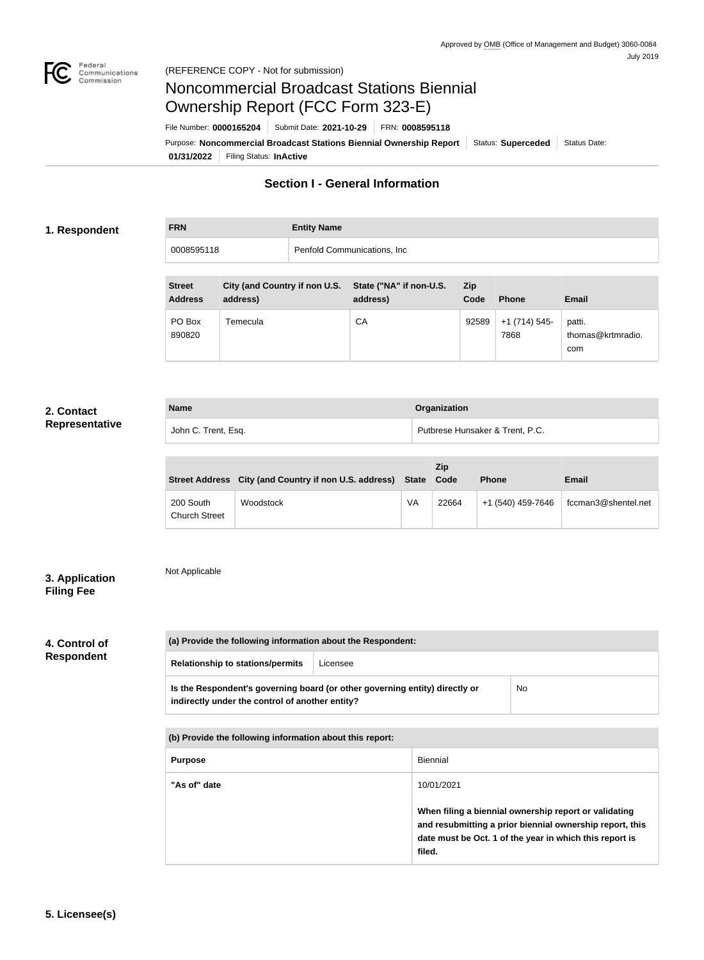

## Noncommercial Broadcast Stations Biennial Ownership Report (FCC Form 323-E)

**01/31/2022** Filing Status: **InActive** Purpose: Noncommercial Broadcast Stations Biennial Ownership Report | Status: Superceded | Status Date: File Number: **0000165204** Submit Date: **2021-10-29** FRN: **0008595118**

## **Section I - General Information**

### **1. Respondent**

| <b>FRN</b> | <b>Entity Name</b>           |
|------------|------------------------------|
| 0008595118 | Penfold Communications, Inc. |
|            |                              |

| <b>Street</b><br><b>Address</b> | City (and Country if non U.S. State ("NA" if non-U.S.<br>address) | address) | Zip<br>Code | <b>Phone</b>          | <b>Email</b>                       |
|---------------------------------|-------------------------------------------------------------------|----------|-------------|-----------------------|------------------------------------|
| PO Box<br>890820                | Temecula                                                          | СA       | 92589       | $+1(714)545-$<br>7868 | patti.<br>thomas@krtmradio.<br>com |

### **2. Contact Representative**

| <b>Name</b>         | Organization                    |
|---------------------|---------------------------------|
| John C. Trent, Esq. | Putbrese Hunsaker & Trent, P.C. |

| Street Address City (and Country if non U.S. address) State Code |           |    | <b>Zip</b><br><b>Email</b><br><b>Phone</b> |                   |                     |
|------------------------------------------------------------------|-----------|----|--------------------------------------------|-------------------|---------------------|
| 200 South<br><b>Church Street</b>                                | Woodstock | VA | 22664                                      | +1 (540) 459-7646 | fccman3@shentel.net |

## **3. Application Filing Fee**

## Not Applicable

# **4. Control of**

**Respondent**

| (a) Provide the following information about the Respondent: |          |  |
|-------------------------------------------------------------|----------|--|
| <b>Relationship to stations/permits</b>                     | Licensee |  |
|                                                             |          |  |

|                                                 | Is the Respondent's governing board (or other governing entity) directly or | No |
|-------------------------------------------------|-----------------------------------------------------------------------------|----|
| indirectly under the control of another entity? |                                                                             |    |
|                                                 |                                                                             |    |

| (b) Provide the following information about this report: |                                                                                                                                                                                        |  |
|----------------------------------------------------------|----------------------------------------------------------------------------------------------------------------------------------------------------------------------------------------|--|
| <b>Purpose</b>                                           | Biennial                                                                                                                                                                               |  |
| "As of" date                                             | 10/01/2021                                                                                                                                                                             |  |
|                                                          | When filing a biennial ownership report or validating<br>and resubmitting a prior biennial ownership report, this<br>date must be Oct. 1 of the year in which this report is<br>filed. |  |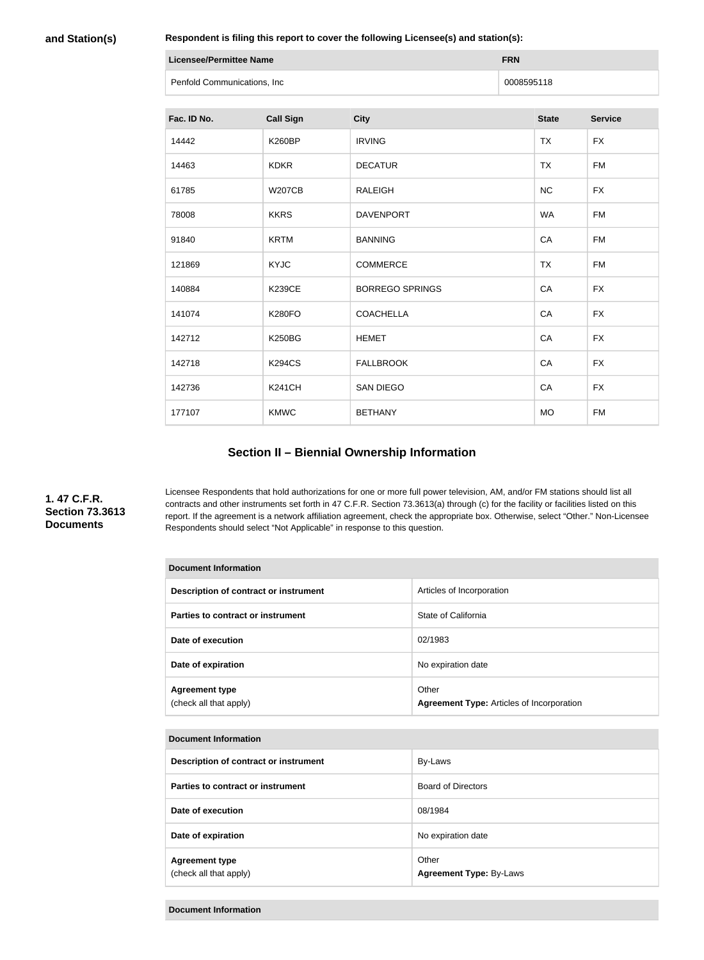**and Station(s)**

**Respondent is filing this report to cover the following Licensee(s) and station(s):**

| Licensee/Permittee Name     | <b>FRN</b> |
|-----------------------------|------------|
| Penfold Communications, Inc | 0008595118 |

| Fac. ID No. | <b>Call Sign</b> | <b>City</b>            | <b>State</b> | <b>Service</b> |
|-------------|------------------|------------------------|--------------|----------------|
| 14442       | <b>K260BP</b>    | <b>IRVING</b>          | <b>TX</b>    | <b>FX</b>      |
| 14463       | <b>KDKR</b>      | <b>DECATUR</b>         | <b>TX</b>    | <b>FM</b>      |
| 61785       | <b>W207CB</b>    | <b>RALEIGH</b>         | NC           | <b>FX</b>      |
| 78008       | <b>KKRS</b>      | <b>DAVENPORT</b>       | <b>WA</b>    | <b>FM</b>      |
| 91840       | <b>KRTM</b>      | <b>BANNING</b>         | CA           | <b>FM</b>      |
| 121869      | <b>KYJC</b>      | <b>COMMERCE</b>        | <b>TX</b>    | <b>FM</b>      |
| 140884      | <b>K239CE</b>    | <b>BORREGO SPRINGS</b> | CA           | <b>FX</b>      |
| 141074      | <b>K280FO</b>    | <b>COACHELLA</b>       | CA           | <b>FX</b>      |
| 142712      | <b>K250BG</b>    | <b>HEMET</b>           | CA           | <b>FX</b>      |
| 142718      | <b>K294CS</b>    | <b>FALLBROOK</b>       | CA           | <b>FX</b>      |
| 142736      | <b>K241CH</b>    | <b>SAN DIEGO</b>       | CA           | <b>FX</b>      |
| 177107      | <b>KMWC</b>      | <b>BETHANY</b>         | <b>MO</b>    | <b>FM</b>      |

## **Section II – Biennial Ownership Information**

**1. 47 C.F.R. Section 73.3613 Documents**

Licensee Respondents that hold authorizations for one or more full power television, AM, and/or FM stations should list all contracts and other instruments set forth in 47 C.F.R. Section 73.3613(a) through (c) for the facility or facilities listed on this report. If the agreement is a network affiliation agreement, check the appropriate box. Otherwise, select "Other." Non-Licensee Respondents should select "Not Applicable" in response to this question.

| Document Information                            |                                                           |  |
|-------------------------------------------------|-----------------------------------------------------------|--|
| Description of contract or instrument           | Articles of Incorporation                                 |  |
| Parties to contract or instrument               | State of California                                       |  |
| Date of execution                               | 02/1983                                                   |  |
| Date of expiration                              | No expiration date                                        |  |
| <b>Agreement type</b><br>(check all that apply) | Other<br><b>Agreement Type:</b> Articles of Incorporation |  |

#### **Document Information**

| Description of contract or instrument           | By-Laws                                 |
|-------------------------------------------------|-----------------------------------------|
| Parties to contract or instrument               | <b>Board of Directors</b>               |
| Date of execution                               | 08/1984                                 |
| Date of expiration                              | No expiration date                      |
| <b>Agreement type</b><br>(check all that apply) | Other<br><b>Agreement Type: By-Laws</b> |

**Document Information**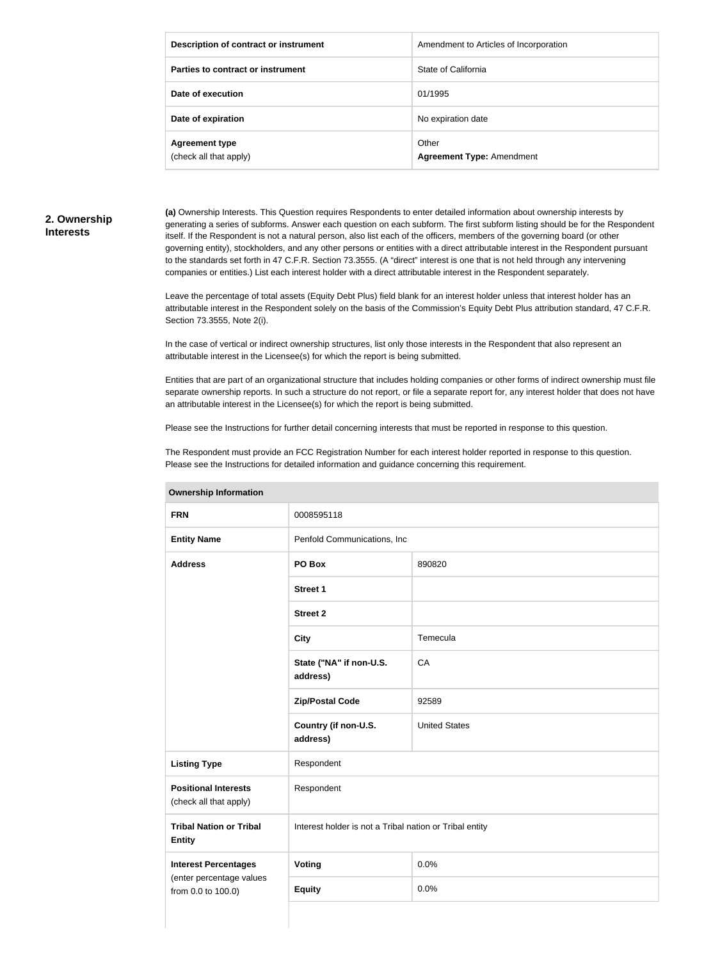| Description of contract or instrument           | Amendment to Articles of Incorporation    |
|-------------------------------------------------|-------------------------------------------|
| Parties to contract or instrument               | State of California                       |
| Date of execution                               | 01/1995                                   |
| Date of expiration                              | No expiration date                        |
| <b>Agreement type</b><br>(check all that apply) | Other<br><b>Agreement Type: Amendment</b> |

### **2. Ownership Interests**

**(a)** Ownership Interests. This Question requires Respondents to enter detailed information about ownership interests by generating a series of subforms. Answer each question on each subform. The first subform listing should be for the Respondent itself. If the Respondent is not a natural person, also list each of the officers, members of the governing board (or other governing entity), stockholders, and any other persons or entities with a direct attributable interest in the Respondent pursuant to the standards set forth in 47 C.F.R. Section 73.3555. (A "direct" interest is one that is not held through any intervening companies or entities.) List each interest holder with a direct attributable interest in the Respondent separately.

Leave the percentage of total assets (Equity Debt Plus) field blank for an interest holder unless that interest holder has an attributable interest in the Respondent solely on the basis of the Commission's Equity Debt Plus attribution standard, 47 C.F.R. Section 73.3555, Note 2(i).

In the case of vertical or indirect ownership structures, list only those interests in the Respondent that also represent an attributable interest in the Licensee(s) for which the report is being submitted.

Entities that are part of an organizational structure that includes holding companies or other forms of indirect ownership must file separate ownership reports. In such a structure do not report, or file a separate report for, any interest holder that does not have an attributable interest in the Licensee(s) for which the report is being submitted.

Please see the Instructions for further detail concerning interests that must be reported in response to this question.

The Respondent must provide an FCC Registration Number for each interest holder reported in response to this question. Please see the Instructions for detailed information and guidance concerning this requirement.

| ווטוואווויטווון קוווטוטווטר                           |                                                         |                      |  |
|-------------------------------------------------------|---------------------------------------------------------|----------------------|--|
| <b>FRN</b>                                            | 0008595118                                              |                      |  |
| <b>Entity Name</b>                                    | Penfold Communications, Inc                             |                      |  |
| <b>Address</b>                                        | PO Box                                                  | 890820               |  |
|                                                       | <b>Street 1</b>                                         |                      |  |
|                                                       | <b>Street 2</b>                                         |                      |  |
|                                                       | <b>City</b>                                             | Temecula             |  |
|                                                       | State ("NA" if non-U.S.<br>address)                     | CA                   |  |
|                                                       | <b>Zip/Postal Code</b>                                  | 92589                |  |
|                                                       | Country (if non-U.S.<br>address)                        | <b>United States</b> |  |
| <b>Listing Type</b>                                   | Respondent                                              |                      |  |
| <b>Positional Interests</b><br>(check all that apply) | Respondent                                              |                      |  |
| <b>Tribal Nation or Tribal</b><br><b>Entity</b>       | Interest holder is not a Tribal nation or Tribal entity |                      |  |
| <b>Interest Percentages</b>                           | Voting                                                  | 0.0%                 |  |
| (enter percentage values<br>from 0.0 to 100.0)        | <b>Equity</b>                                           | 0.0%                 |  |
|                                                       |                                                         |                      |  |

**Ownership Information**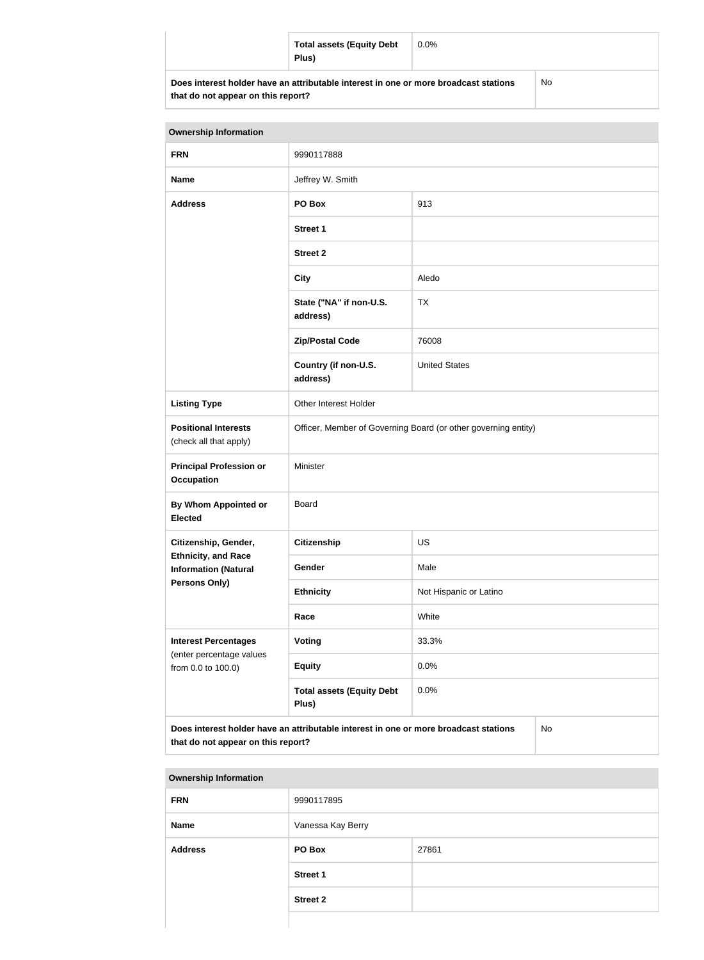|                                                                                      | <b>Total assets (Equity Debt</b><br>Plus) | $0.0\%$ |    |
|--------------------------------------------------------------------------------------|-------------------------------------------|---------|----|
| Does interest holder have an attributable interest in one or more broadcast stations |                                           |         | No |

| <b>Ownership Information</b>                                                                                                     |                                                                |                        |  |
|----------------------------------------------------------------------------------------------------------------------------------|----------------------------------------------------------------|------------------------|--|
| <b>FRN</b>                                                                                                                       | 9990117888                                                     |                        |  |
| <b>Name</b>                                                                                                                      | Jeffrey W. Smith                                               |                        |  |
| <b>Address</b>                                                                                                                   | PO Box<br>913                                                  |                        |  |
|                                                                                                                                  | <b>Street 1</b>                                                |                        |  |
|                                                                                                                                  | <b>Street 2</b>                                                |                        |  |
|                                                                                                                                  | <b>City</b>                                                    | Aledo                  |  |
|                                                                                                                                  | State ("NA" if non-U.S.<br>address)                            | <b>TX</b>              |  |
|                                                                                                                                  | <b>Zip/Postal Code</b>                                         | 76008                  |  |
|                                                                                                                                  | Country (if non-U.S.<br>address)                               | <b>United States</b>   |  |
| <b>Listing Type</b>                                                                                                              | Other Interest Holder                                          |                        |  |
| <b>Positional Interests</b><br>(check all that apply)                                                                            | Officer, Member of Governing Board (or other governing entity) |                        |  |
| <b>Principal Profession or</b><br><b>Occupation</b>                                                                              | Minister                                                       |                        |  |
| By Whom Appointed or<br><b>Elected</b>                                                                                           | <b>Board</b>                                                   |                        |  |
| Citizenship, Gender,                                                                                                             | Citizenship<br><b>US</b>                                       |                        |  |
| <b>Ethnicity, and Race</b><br><b>Information (Natural</b>                                                                        | Gender                                                         | Male                   |  |
| <b>Persons Only)</b>                                                                                                             | <b>Ethnicity</b>                                               | Not Hispanic or Latino |  |
|                                                                                                                                  | Race                                                           | White                  |  |
| <b>Interest Percentages</b>                                                                                                      | Voting                                                         | 33.3%                  |  |
| (enter percentage values<br>from 0.0 to 100.0)                                                                                   | <b>Equity</b>                                                  | 0.0%                   |  |
|                                                                                                                                  | <b>Total assets (Equity Debt</b><br>Plus)                      | 0.0%                   |  |
| Does interest holder have an attributable interest in one or more broadcast stations<br>No<br>that do not appear on this report? |                                                                |                        |  |

| <b>Ownership Information</b> |                   |       |  |
|------------------------------|-------------------|-------|--|
| <b>FRN</b>                   | 9990117895        |       |  |
| <b>Name</b>                  | Vanessa Kay Berry |       |  |
| <b>Address</b>               | PO Box            | 27861 |  |
|                              | <b>Street 1</b>   |       |  |
|                              | <b>Street 2</b>   |       |  |
|                              |                   |       |  |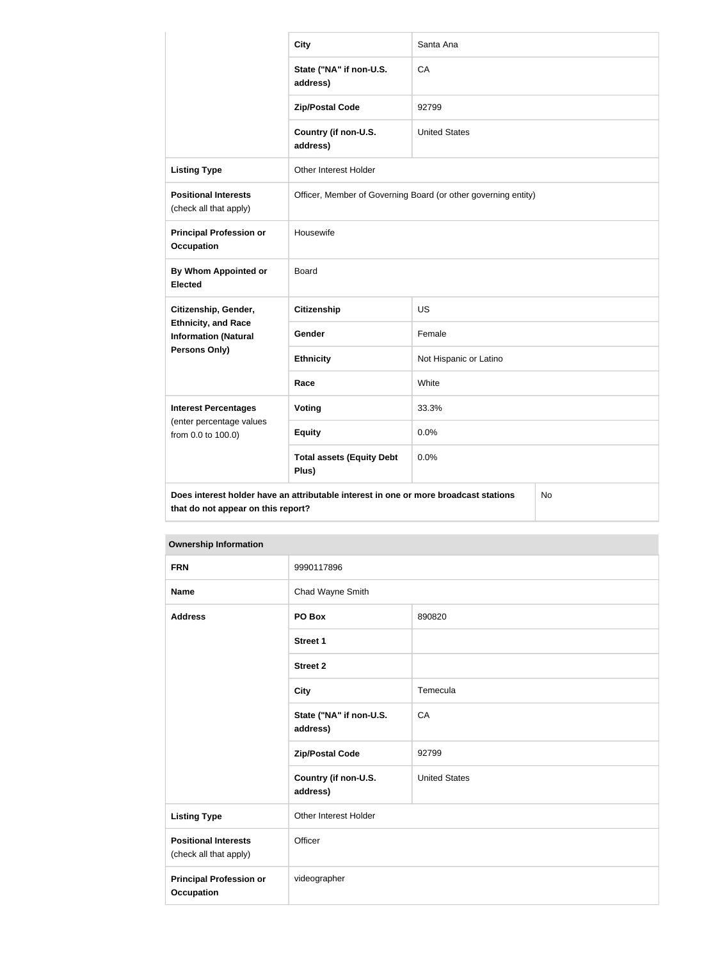|                                                                                                                                  | <b>City</b>                                                    | Santa Ana              |  |
|----------------------------------------------------------------------------------------------------------------------------------|----------------------------------------------------------------|------------------------|--|
|                                                                                                                                  | State ("NA" if non-U.S.<br>address)                            | CA                     |  |
|                                                                                                                                  | <b>Zip/Postal Code</b>                                         | 92799                  |  |
|                                                                                                                                  | Country (if non-U.S.<br>address)                               | <b>United States</b>   |  |
| <b>Listing Type</b>                                                                                                              | Other Interest Holder                                          |                        |  |
| <b>Positional Interests</b><br>(check all that apply)                                                                            | Officer, Member of Governing Board (or other governing entity) |                        |  |
| <b>Principal Profession or</b><br><b>Occupation</b>                                                                              | Housewife                                                      |                        |  |
| <b>By Whom Appointed or</b><br><b>Elected</b>                                                                                    | <b>Board</b>                                                   |                        |  |
| Citizenship, Gender,                                                                                                             | <b>Citizenship</b>                                             | <b>US</b>              |  |
| <b>Ethnicity, and Race</b><br><b>Information (Natural</b>                                                                        | Gender                                                         | Female                 |  |
| Persons Only)                                                                                                                    | <b>Ethnicity</b>                                               | Not Hispanic or Latino |  |
|                                                                                                                                  | Race                                                           | White                  |  |
| <b>Interest Percentages</b>                                                                                                      | <b>Voting</b>                                                  | 33.3%                  |  |
| (enter percentage values<br>from 0.0 to 100.0)                                                                                   | <b>Equity</b>                                                  | 0.0%                   |  |
|                                                                                                                                  | <b>Total assets (Equity Debt</b><br>Plus)                      | 0.0%                   |  |
| Does interest holder have an attributable interest in one or more broadcast stations<br>No<br>that do not appear on this report? |                                                                |                        |  |

| <b>Ownership Information</b>                          |                                     |                      |  |
|-------------------------------------------------------|-------------------------------------|----------------------|--|
| <b>FRN</b>                                            | 9990117896                          |                      |  |
| <b>Name</b>                                           | Chad Wayne Smith                    |                      |  |
| <b>Address</b>                                        | PO Box                              | 890820               |  |
|                                                       | <b>Street 1</b>                     |                      |  |
|                                                       | <b>Street 2</b>                     |                      |  |
|                                                       | <b>City</b>                         | Temecula             |  |
|                                                       | State ("NA" if non-U.S.<br>address) | CA                   |  |
|                                                       | <b>Zip/Postal Code</b>              | 92799                |  |
|                                                       | Country (if non-U.S.<br>address)    | <b>United States</b> |  |
| <b>Listing Type</b>                                   | Other Interest Holder               |                      |  |
| <b>Positional Interests</b><br>(check all that apply) | Officer                             |                      |  |
| <b>Principal Profession or</b><br><b>Occupation</b>   | videographer                        |                      |  |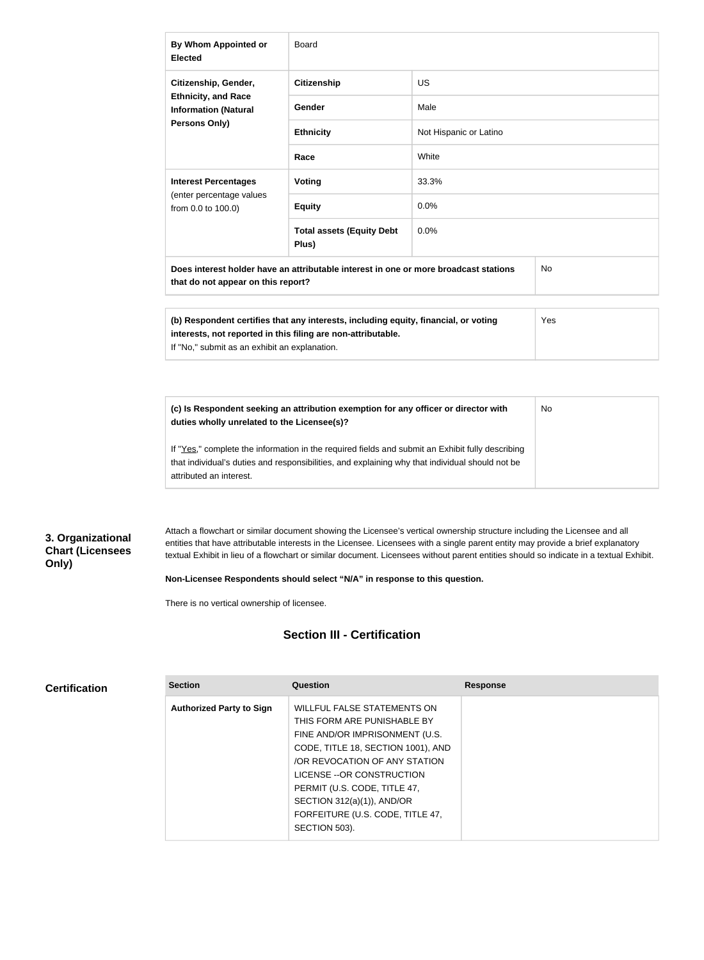| By Whom Appointed or<br><b>Elected</b>                                                                                                  | <b>Board</b>                              |                        |  |
|-----------------------------------------------------------------------------------------------------------------------------------------|-------------------------------------------|------------------------|--|
| Citizenship, Gender,                                                                                                                    | <b>Citizenship</b>                        | US.                    |  |
| <b>Ethnicity, and Race</b><br><b>Information (Natural</b>                                                                               | Gender                                    | Male                   |  |
| <b>Persons Only)</b>                                                                                                                    | <b>Ethnicity</b>                          | Not Hispanic or Latino |  |
|                                                                                                                                         | Race                                      | White                  |  |
| <b>Interest Percentages</b>                                                                                                             | <b>Voting</b>                             | 33.3%                  |  |
| (enter percentage values<br>from 0.0 to 100.0)                                                                                          | <b>Equity</b>                             | 0.0%                   |  |
|                                                                                                                                         | <b>Total assets (Equity Debt</b><br>Plus) | 0.0%                   |  |
| Does interest holder have an attributable interest in one or more broadcast stations<br><b>No</b><br>that do not appear on this report? |                                           |                        |  |

| (b) Respondent certifies that any interests, including equity, financial, or voting | Yes |
|-------------------------------------------------------------------------------------|-----|
| interests, not reported in this filing are non-attributable.                        |     |
| If "No." submit as an exhibit an explanation.                                       |     |

| (c) Is Respondent seeking an attribution exemption for any officer or director with<br>duties wholly unrelated to the Licensee(s)?                                                                                             | No |
|--------------------------------------------------------------------------------------------------------------------------------------------------------------------------------------------------------------------------------|----|
| If "Yes," complete the information in the required fields and submit an Exhibit fully describing<br>that individual's duties and responsibilities, and explaining why that individual should not be<br>attributed an interest. |    |

## **3. Organizational Chart (Licensees Only)**

Attach a flowchart or similar document showing the Licensee's vertical ownership structure including the Licensee and all entities that have attributable interests in the Licensee. Licensees with a single parent entity may provide a brief explanatory textual Exhibit in lieu of a flowchart or similar document. Licensees without parent entities should so indicate in a textual Exhibit.

**Non-Licensee Respondents should select "N/A" in response to this question.**

There is no vertical ownership of licensee.

## **Section III - Certification**

| <b>Certification</b> | <b>Section</b>                  | Question                           | <b>Response</b> |
|----------------------|---------------------------------|------------------------------------|-----------------|
|                      | <b>Authorized Party to Sign</b> | <b>WILLFUL FALSE STATEMENTS ON</b> |                 |
|                      |                                 | THIS FORM ARE PUNISHABLE BY        |                 |
|                      |                                 | FINE AND/OR IMPRISONMENT (U.S.     |                 |
|                      |                                 | CODE, TITLE 18, SECTION 1001), AND |                 |
|                      |                                 | /OR REVOCATION OF ANY STATION      |                 |
|                      |                                 | LICENSE -- OR CONSTRUCTION         |                 |
|                      |                                 | PERMIT (U.S. CODE, TITLE 47,       |                 |
|                      |                                 | SECTION $312(a)(1)$ ), AND/OR      |                 |
|                      |                                 | FORFEITURE (U.S. CODE, TITLE 47,   |                 |
|                      |                                 | SECTION 503).                      |                 |